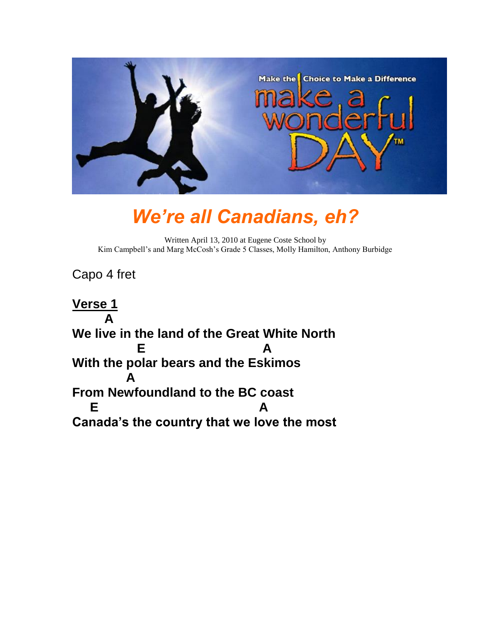

## *We're all Canadians, eh?*

Written April 13, 2010 at Eugene Coste School by Kim Campbell's and Marg McCosh's Grade 5 Classes, Molly Hamilton, Anthony Burbidge

Capo 4 fret

**Verse 1 A We live in the land of the Great White North E** A **With the polar bears and the Eskimos A From Newfoundland to the BC coast E** A **Canada's the country that we love the most**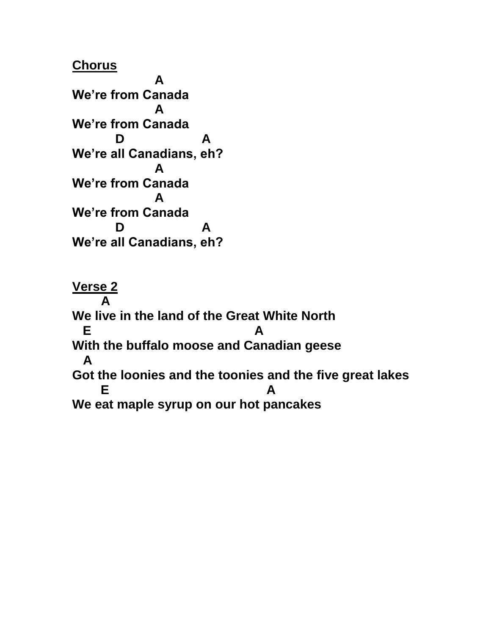**Verse 2 A We live in the land of the Great White North E** A **With the buffalo moose and Canadian geese A Got the loonies and the toonies and the five great lakes E** A **We eat maple syrup on our hot pancakes**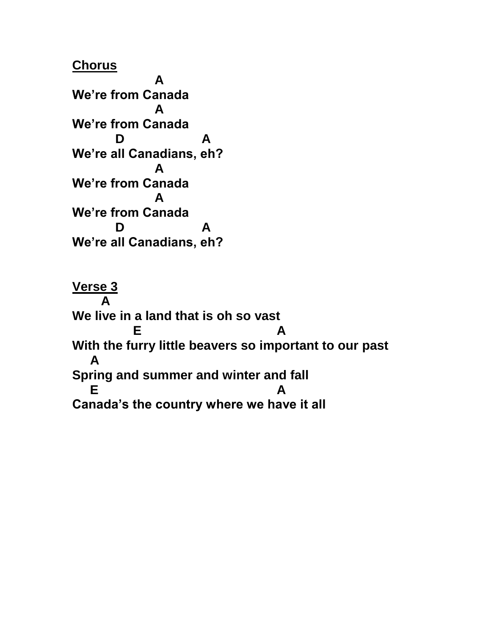**Verse 3 A We live in a land that is oh so vast E** A **With the furry little beavers so important to our past A Spring and summer and winter and fall E** A **Canada's the country where we have it all**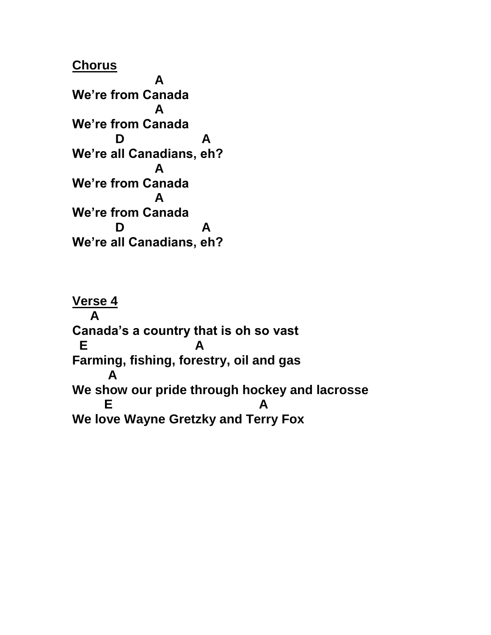**Verse 4 A Canada's a country that is oh so vast E A Farming, fishing, forestry, oil and gas A We show our pride through hockey and lacrosse E** A **We love Wayne Gretzky and Terry Fox**